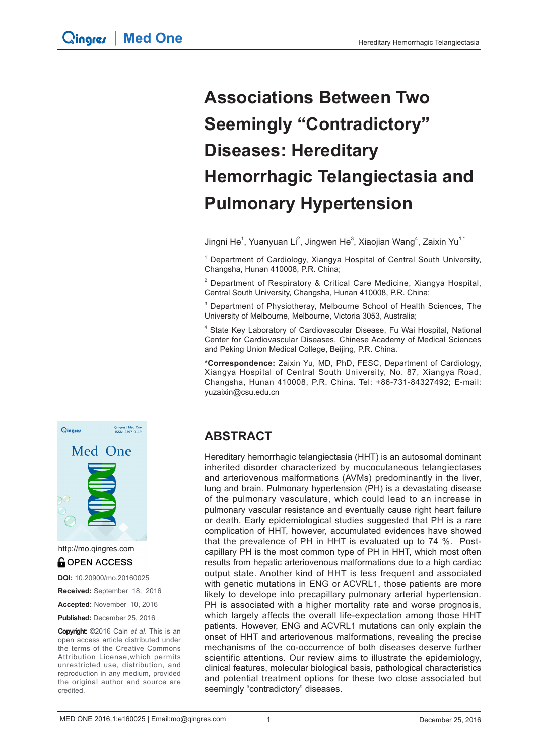# **Associations Between Two Seemingly "Contradictory" Diseases: Hereditary Hemorrhagic Telangiectasia and Pulmonary Hypertension**

Jingni He<sup>1</sup>, Yuanyuan Li<sup>2</sup>, Jingwen He<sup>3</sup>, Xiaojian Wang<sup>4</sup>, Zaixin Yu<sup>1</sup>

<sup>1</sup> Department of Cardiology, Xiangya Hospital of Central South University, Changsha, Hunan 410008, P.R. China;

<sup>2</sup> Department of Respiratory & Critical Care Medicine, Xiangya Hospital, Central South University, Changsha, Hunan 410008, P.R. China;

<sup>3</sup> Department of Physiotheray, Melbourne School of Health Sciences, The University of Melbourne, Melbourne, Victoria 3053, Australia;

<sup>4</sup> State Key Laboratory of Cardiovascular Disease, Fu Wai Hospital, National Center for Cardiovascular Diseases, Chinese Academy of Medical Sciences and Peking Union Medical College, Beijing, P.R. China.

**\*Correspondence:** Zaixin Yu, MD, PhD, FESC, Department of Cardiology, Xiangya Hospital of Central South University, No. 87, Xiangya Road, Changsha, Hunan 410008, P.R. China. Tel: +86-731-84327492; E-mail: yuzaixin@csu.edu.cn

# Qingres | Med One<br>ISSN: 2397-9119 Qingres Med One

http://mo.qingres.com**GOPEN ACCESS** 

**DOI:** 10.20900/mo.20160025

**Received:** September 18, 2016

**Accepted:** November 10, 2016

**Published:** December 25, 2016

**Copyright:** ©2016 Cain *et al*. This is an open access article distributed under the terms of the Creative Commons Attribution License,which permits unrestricted use, distribution, and reproduction in any medium, provided the original author and source are credited.

### **ABSTRACT**

Hereditary hemorrhagic telangiectasia (HHT) is an autosomal dominant inherited disorder characterized by mucocutaneous telangiectases and arteriovenous malformations (AVMs) predominantly in the liver, lung and brain. Pulmonary hypertension (PH) is a devastating disease of the pulmonary vasculature, which could lead to an increase in pulmonary vascular resistance and eventually cause right heart failure or death. Early epidemiological studies suggested that PH is a rare complication of HHT, however, accumulated evidences have showed that the prevalence of PH in HHT is evaluated up to 74 %. Postcapillary PH is the most common type of PH in HHT, which most often results from hepatic arteriovenous malformations due to a high cardiac output state. Another kind of HHT is less frequent and associated with genetic mutations in ENG or ACVRL1, those patients are more likely to develope into precapillary pulmonary arterial hypertension. PH is associated with a higher mortality rate and worse prognosis, which largely affects the overall life-expectation among those HHT patients. However, ENG and ACVRL1 mutations can only explain the onset of HHT and arteriovenous malformations, revealing the precise mechanisms of the co-occurrence of both diseases deserve further scientific attentions. Our review aims to illustrate the epidemiology, clinical features, molecular biological basis, pathological characteristics and potential treatment options for these two close associated but seemingly "contradictory" diseases.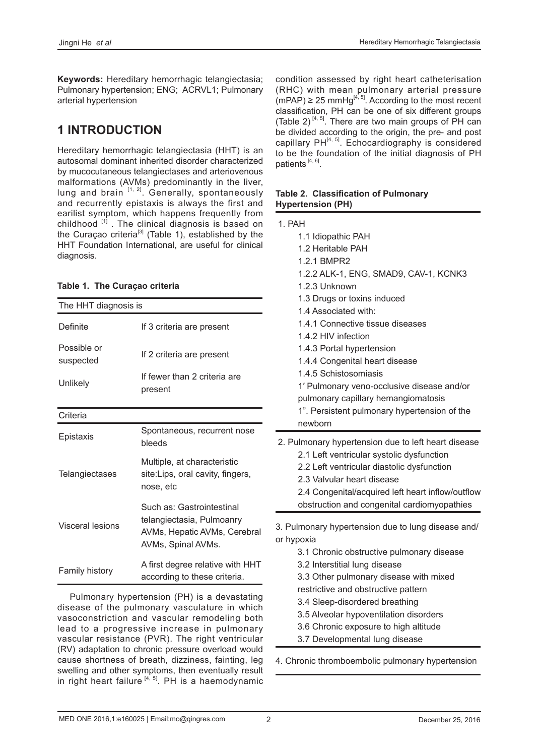**Keywords:** Hereditary hemorrhagic telangiectasia; Pulmonary hypertension; ENG; ACRVL1; Pulmonary arterial hypertension

# **1 INTRODUCTION**

Hereditary hemorrhagic telangiectasia (HHT) is an autosomal dominant inherited disorder characterized by mucocutaneous telangiectases and arteriovenous malformations (AVMs) predominantly in the liver, lung and brain  $[1, 2]$ . Generally, spontaneously and recurrently epistaxis is always the first and earilist symptom, which happens frequently from childhood  $[1]$ . The clinical diagnosis is based on the Curaçao criteria<sup>[3]</sup> (Table 1), established by the HHT Foundation International, are useful for clinical diagnosis.

|  |  | Table 1. The Curaçao criteria |  |
|--|--|-------------------------------|--|
|--|--|-------------------------------|--|

| The HHT diagnosis is     |                                                                                                              |  |
|--------------------------|--------------------------------------------------------------------------------------------------------------|--|
| Definite                 | If 3 criteria are present                                                                                    |  |
| Possible or<br>suspected | If 2 criteria are present                                                                                    |  |
| Unlikely                 | If fewer than 2 criteria are<br>present                                                                      |  |
| Criteria                 |                                                                                                              |  |
| Epistaxis                | Spontaneous, recurrent nose<br>bleeds                                                                        |  |
| Telangiectases           | Multiple, at characteristic<br>site: Lips, oral cavity, fingers,<br>nose, etc                                |  |
| Visceral lesions         | Such as: Gastrointestinal<br>telangiectasia, Pulmoanry<br>AVMs, Hepatic AVMs, Cerebral<br>AVMs, Spinal AVMs. |  |
| <b>Family history</b>    | A first degree relative with HHT<br>according to these criteria.                                             |  |

Pulmonary hypertension (PH) is a devastating disease of the pulmonary vasculature in which vasoconstriction and vascular remodeling both lead to a progressive increase in pulmonary vascular resistance (PVR). The right ventricular (RV) adaptation to chronic pressure overload would cause shortness of breath, dizziness, fainting, leg swelling and other symptoms, then eventually result in right heart failure  $[4, 5]$ . PH is a haemodynamic condition assessed by right heart catheterisation (RHC) with mean pulmonary arterial pressure  $(mPAP) \ge 25$  mmHg<sup>[4, 5]</sup>. According to the most recent classification, PH can be one of six different groups (Table 2)<sup>[4, 5]</sup>. There are two main groups of PH can be divided according to the origin, the pre- and post capillary  $PH<sup>[4, 5]</sup>$ . Echocardiography is considered to be the foundation of the initial diagnosis of PH patients<sup>[4, 6]</sup>.

#### **Table 2. Classification of Pulmonary Hypertension (PH)**

| 1. PAH     |                                                                                                                                                                                                                                                                                                                                                                                                                                                                            |
|------------|----------------------------------------------------------------------------------------------------------------------------------------------------------------------------------------------------------------------------------------------------------------------------------------------------------------------------------------------------------------------------------------------------------------------------------------------------------------------------|
|            | 1.1 Idiopathic PAH<br>1.2 Heritable PAH<br>1.2.1 BMPR2<br>1.2.2 ALK-1, ENG, SMAD9, CAV-1, KCNK3<br>1.2.3 Unknown<br>1.3 Drugs or toxins induced<br>1.4 Associated with:<br>1.4.1 Connective tissue diseases<br>1.4.2 HIV infection<br>1.4.3 Portal hypertension<br>1.4.4 Congenital heart disease<br>1.4.5 Schistosomiasis<br>1' Pulmonary veno-occlusive disease and/or<br>pulmonary capillary hemangiomatosis<br>1". Persistent pulmonary hypertension of the<br>newborn |
|            | 2. Pulmonary hypertension due to left heart disease<br>2.1 Left ventricular systolic dysfunction<br>2.2 Left ventricular diastolic dysfunction<br>2.3 Valvular heart disease<br>2.4 Congenital/acquired left heart inflow/outflow<br>obstruction and congenital cardiomyopathies                                                                                                                                                                                           |
| or hypoxia | 3. Pulmonary hypertension due to lung disease and/<br>3.1 Chronic obstructive pulmonary disease<br>3.2 Interstitial lung disease<br>3.3 Other pulmonary disease with mixed<br>restrictive and obstructive pattern<br>3.4 Sleep-disordered breathing<br>3.5 Alveolar hypoventilation disorders<br>3.6 Chronic exposure to high altitude                                                                                                                                     |

3.7 Developmental lung disease

4. Chronic thromboembolic pulmonary hypertension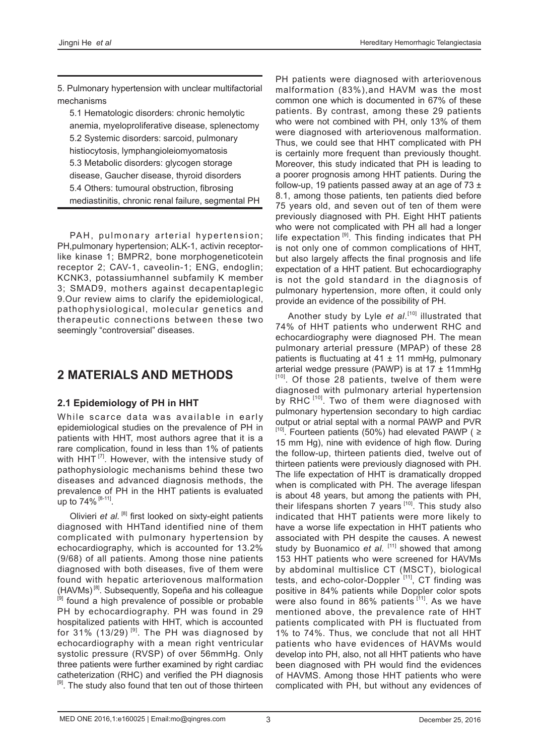5. Pulmonary hypertension with unclear multifactorial mechanisms

 5.1 Hematologic disorders: chronic hemolytic anemia, myeloproliferative disease, splenectomy 5.2 Systemic disorders: sarcoid, pulmonary histiocytosis, lymphangioleiomyomatosis 5.3 Metabolic disorders: glycogen storage disease, Gaucher disease, thyroid disorders 5.4 Others: tumoural obstruction, fibrosing mediastinitis, chronic renal failure, segmental PH

PAH, pulmonary arterial hypertension; PH,pulmonary hypertension; ALK-1, activin receptorlike kinase 1; BMPR2, bone morphogeneticotein receptor 2; CAV-1, caveolin-1; ENG, endoglin; KCNK3, potassiumhannel subfamily K member 3; SMAD9, mothers against decapentaplegic 9.Our review aims to clarify the epidemiological, pathophysiological, molecular genetics and therapeutic connections between these two seemingly "controversial" diseases.

# **2 MATERIALS AND METHODS**

#### **2.1 Epidemiology of PH in HHT**

While scarce data was available in early epidemiological studies on the prevalence of PH in patients with HHT, most authors agree that it is a rare complication, found in less than 1% of patients with HHT $<sup>[7]</sup>$ . However, with the intensive study of</sup> pathophysiologic mechanisms behind these two diseases and advanced diagnosis methods, the prevalence of PH in the HHT patients is evaluated up to 74% [8-11].

Olivieri *et al.* <sup>[8]</sup> first looked on sixty-eight patients diagnosed with HHTand identified nine of them complicated with pulmonary hypertension by echocardiography, which is accounted for 13.2% (9/68) of all patients. Among those nine patients diagnosed with both diseases, five of them were found with hepatic arteriovenous malformation (HAVMs) [8]. Subsequently, Sopeña and his colleague <sup>[9]</sup> found a high prevalence of possible or probable PH by echocardiography. PH was found in 29 hospitalized patients with HHT, which is accounted for 31% (13/29)<sup>[9]</sup>. The PH was diagnosed by echocardiography with a mean right ventricular systolic pressure (RVSP) of over 56mmHg. Only three patients were further examined by right cardiac catheterization (RHC) and verified the PH diagnosis <sup>[9]</sup>. The study also found that ten out of those thirteen

PH patients were diagnosed with arteriovenous malformation (83%),and HAVM was the most common one which is documented in 67% of these patients. By contrast, among these 29 patients who were not combined with PH, only 13% of them were diagnosed with arteriovenous malformation. Thus, we could see that HHT complicated with PH is certainly more frequent than previously thought. Moreover, this study indicated that PH is leading to a poorer prognosis among HHT patients. During the follow-up, 19 patients passed away at an age of  $73 \pm$ 8.1, among those patients, ten patients died before 75 years old, and seven out of ten of them were previously diagnosed with PH. Eight HHT patients who were not complicated with PH all had a longer life expectation  $[9]$ . This finding indicates that PH is not only one of common complications of HHT, but also largely affects the final prognosis and life expectation of a HHT patient. But echocardiography is not the gold standard in the diagnosis of pulmonary hypertension, more often, it could only provide an evidence of the possibility of PH.

Another study by Lyle *et al.*<sup>[10]</sup> illustrated that 74% of HHT patients who underwent RHC and echocardiography were diagnosed PH. The mean pulmonary arterial pressure (MPAP) of these 28 patients is fluctuating at  $41 \pm 11$  mmHg, pulmonary arterial wedge pressure (PAWP) is at  $17 \pm 11$ mmHg [10]. Of those 28 patients, twelve of them were diagnosed with pulmonary arterial hypertension by RHC<sup>[10]</sup>. Two of them were diagnosed with pulmonary hypertension secondary to high cardiac output or atrial septal with a normal PAWP and PVR  $[10]$ . Fourteen patients (50%) had elevated PAWP ( $\geq$ 15 mm Hg), nine with evidence of high flow. During the follow-up, thirteen patients died, twelve out of thirteen patients were previously diagnosed with PH. The life expectation of HHT is dramatically dropped when is complicated with PH. The average lifespan is about 48 years, but among the patients with PH, their lifespans shorten  $7$  years  $[10]$ . This study also indicated that HHT patients were more likely to have a worse life expectation in HHT patients who associated with PH despite the causes. A newest study by Buonamico *et al.* [11] showed that among 153 HHT patients who were screened for HAVMs by abdominal multislice CT (MSCT), biological tests, and echo-color-Doppler<sup>[11]</sup>, CT finding was positive in 84% patients while Doppler color spots were also found in 86% patients [11]. As we have mentioned above, the prevalence rate of HHT patients complicated with PH is fluctuated from 1% to 74%. Thus, we conclude that not all HHT patients who have evidences of HAVMs would develop into PH, also, not all HHT patients who have been diagnosed with PH would find the evidences of HAVMS. Among those HHT patients who were complicated with PH, but without any evidences of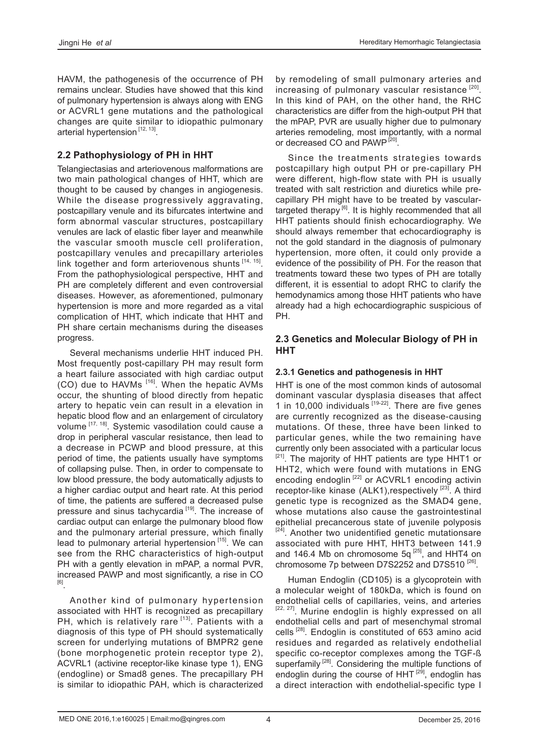HAVM, the pathogenesis of the occurrence of PH remains unclear. Studies have showed that this kind of pulmonary hypertension is always along with ENG or ACVRL1 gene mutations and the pathological changes are quite similar to idiopathic pulmonary arterial hypertension<sup>[12, 13]</sup>.

#### **2.2 Pathophysiology of PH in HHT**

Telangiectasias and arteriovenous malformations are two main pathological changes of HHT, which are thought to be caused by changes in angiogenesis. While the disease progressively aggravating, postcapillary venule and its bifurcates intertwine and form abnormal vascular structures, postcapillary venules are lack of elastic fiber layer and meanwhile the vascular smooth muscle cell proliferation, postcapillary venules and precapillary arterioles link together and form arteriovenous shunts [14, 15]. From the pathophysiological perspective, HHT and PH are completely different and even controversial diseases. However, as aforementioned, pulmonary hypertension is more and more regarded as a vital complication of HHT, which indicate that HHT and PH share certain mechanisms during the diseases progress.

Several mechanisms underlie HHT induced PH. Most frequently post-capillary PH may result form a heart failure associated with high cardiac output (CO) due to HAVMs [16]. When the hepatic AVMs occur, the shunting of blood directly from hepatic artery to hepatic vein can result in a elevation in hepatic blood flow and an enlargement of circulatory volume <a>[17, 18]</a>. Systemic vasodilation could cause a drop in peripheral vascular resistance, then lead to a decrease in PCWP and blood pressure, at this period of time, the patients usually have symptoms of collapsing pulse. Then, in order to compensate to low blood pressure, the body automatically adjusts to a higher cardiac output and heart rate. At this period of time, the patients are suffered a decreased pulse pressure and sinus tachycardia<sup>[19]</sup>. The increase of cardiac output can enlarge the pulmonary blood flow and the pulmonary arterial pressure, which finally lead to pulmonary arterial hypertension  $[15]$ . We can see from the RHC characteristics of high-output PH with a gently elevation in mPAP, a normal PVR, increased PAWP and most significantly, a rise in CO [6].

Another kind of pulmonary hypertension associated with HHT is recognized as precapillary PH, which is relatively rare [13]. Patients with a diagnosis of this type of PH should systematically screen for underlying mutations of BMPR2 gene (bone morphogenetic protein receptor type 2), ACVRL1 (activine receptor-like kinase type 1), ENG (endogline) or Smad8 genes. The precapillary PH is similar to idiopathic PAH, which is characterized by remodeling of small pulmonary arteries and increasing of pulmonary vascular resistance [20]. In this kind of PAH, on the other hand, the RHC characteristics are differ from the high-output PH that the mPAP, PVR are usually higher due to pulmonary arteries remodeling, most importantly, with a normal or decreased CO and PAWP<sup>[20]</sup>.

Since the treatments strategies towards postcapillary high output PH or pre-capillary PH were different, high-flow state with PH is usually treated with salt restriction and diuretics while precapillary PH might have to be treated by vasculartargeted therapy<sup>[6]</sup>. It is highly recommended that all HHT patients should finish echocardiography. We should always remember that echocardiography is not the gold standard in the diagnosis of pulmonary hypertension, more often, it could only provide a evidence of the possibility of PH. For the reason that treatments toward these two types of PH are totally different, it is essential to adopt RHC to clarify the hemodynamics among those HHT patients who have already had a high echocardiographic suspicious of PH.

#### **2.3 Genetics and Molecular Biology of PH in HHT**

#### **2.3.1 Genetics and pathogenesis in HHT**

HHT is one of the most common kinds of autosomal dominant vascular dysplasia diseases that affect 1 in 10,000 individuals  $19-22$ . There are five genes are currently recognized as the disease-causing mutations. Of these, three have been linked to particular genes, while the two remaining have currently only been associated with a particular locus <sup>[21]</sup>. The majority of HHT patients are type HHT1 or HHT2, which were found with mutations in ENG encoding endoglin  $^{[22]}$  or ACVRL1 encoding activin receptor-like kinase  $(ALK1)$ , respectively  $[23]$ . A third genetic type is recognized as the SMAD4 gene, whose mutations also cause the gastrointestinal epithelial precancerous state of juvenile polyposis <sup>[24]</sup>. Another two unidentified genetic mutationsare associated with pure HHT, HHT3 between 141.9 and 146.4 Mb on chromosome 5q  $^{[25]}$ , and HHT4 on chromosome 7p between D7S2252 and D7S510<sup>[26]</sup>.

Human Endoglin (CD105) is a glycoprotein with a molecular weight of 180kDa, which is found on endothelial cells of capillaries, veins, and arteries [22, 27]. Murine endoglin is highly expressed on all endothelial cells and part of mesenchymal stromal cells [28]. Endoglin is constituted of 653 amino acid residues and regarded as relatively endothelial specific co-receptor complexes among the TGF-ß superfamily<sup>[28]</sup>. Considering the multiple functions of endoglin during the course of  $HHT$ <sup> $[29]$ </sup>, endoglin has a direct interaction with endothelial-specific type I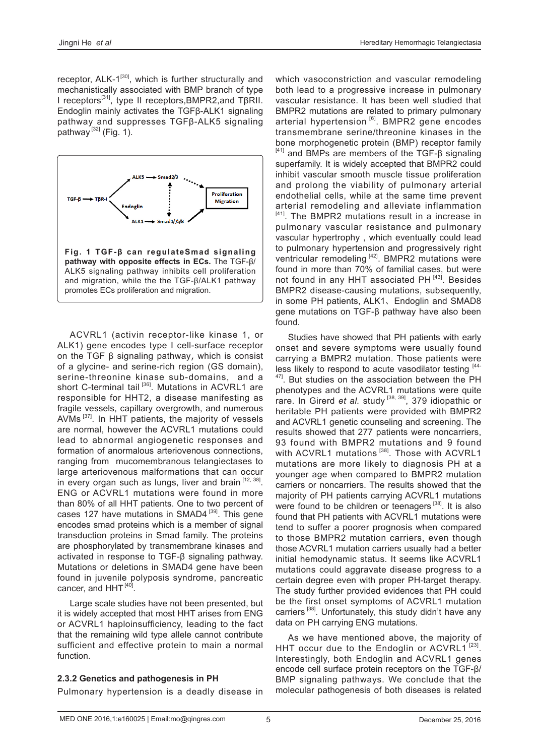receptor,  $ALK-1^{[30]}$ , which is further structurally and mechanistically associated with BMP branch of type I receptors[31], type II receptors,BMPR2,and TβRII. Endoglin mainly activates the TGFβ-ALK1 signaling pathway and suppresses TGFβ-ALK5 signaling pathway  $^{[32]}$  (Fig. 1).



ACVRL1 (activin receptor-like kinase 1, or ALK1) gene encodes type I cell-surface receptor on the TGF β signaling pathway, which is consist of a glycine- and serine-rich region (GS domain), serine-threonine kinase sub-domains, and a short C-terminal tail<sup>[36]</sup>. Mutations in ACVRL1 are responsible for HHT2, a disease manifesting as fragile vessels, capillary overgrowth, and numerous AVMs  $[37]$ . In HHT patients, the majority of vessels are normal, however the ACVRL1 mutations could lead to abnormal angiogenetic responses and formation of anormalous arteriovenous connections, ranging from mucomembranous telangiectases to large arteriovenous malformations that can occur in every organ such as lungs, liver and brain [12, 38]. ENG or ACVRL1 mutations were found in more than 80% of all HHT patients. One to two percent of cases 127 have mutations in SMAD4<sup>[39]</sup>. This gene encodes smad proteins which is a member of signal transduction proteins in Smad family. The proteins are phosphorylated by transmembrane kinases and activated in response to TGF-β signaling pathway. Mutations or deletions in SMAD4 gene have been found in juvenile polyposis syndrome, pancreatic cancer, and  $HHT^{[40]}$ .

Large scale studies have not been presented, but it is widely accepted that most HHT arises from ENG or ACVRL1 haploinsufficiency, leading to the fact that the remaining wild type allele cannot contribute sufficient and effective protein to main a normal function.

#### **2.3.2 Genetics and pathogenesis in PH**

Pulmonary hypertension is a deadly disease in

which vasoconstriction and vascular remodeling both lead to a progressive increase in pulmonary vascular resistance. It has been well studied that BMPR2 mutations are related to primary pulmonary arterial hypertension<sup>[6]</sup>. BMPR2 gene encodes transmembrane serine/threonine kinases in the bone morphogenetic protein (BMP) receptor family [41] and BMPs are members of the TGF-β signaling superfamily. It is widely accepted that BMPR2 could inhibit vascular smooth muscle tissue proliferation and prolong the viability of pulmonary arterial endothelial cells, while at the same time prevent arterial remodeling and alleviate inflammation [41]. The BMPR2 mutations result in a increase in pulmonary vascular resistance and pulmonary vascular hypertrophy , which eventually could lead to pulmonary hypertension and progressively right ventricular remodeling [42]. BMPR2 mutations were found in more than 70% of familial cases, but were not found in any HHT associated  $PH<sup>[43]</sup>$ . Besides BMPR2 disease-causing mutations, subsequently, in some PH patients, ALK1、Endoglin and SMAD8 gene mutations on TGF-β pathway have also been found.

Studies have showed that PH patients with early onset and severe symptoms were usually found carrying a BMPR2 mutation. Those patients were less likely to respond to acute vasodilator testing [44- $47$ ]. But studies on the association between the PH phenotypes and the ACVRL1 mutations were quite rare. In Girerd *et al.* study [38, 39], 379 idiopathic or heritable PH patients were provided with BMPR2 and ACVRL1 genetic counseling and screening. The results showed that 277 patients were noncarriers, 93 found with BMPR2 mutations and 9 found with ACVRL1 mutations<sup>[38]</sup>. Those with ACVRL1 mutations are more likely to diagnosis PH at a younger age when compared to BMPR2 mutation carriers or noncarriers. The results showed that the majority of PH patients carrying ACVRL1 mutations were found to be children or teenagers<sup>[38]</sup>. It is also found that PH patients with ACVRL1 mutations were tend to suffer a poorer prognosis when compared to those BMPR2 mutation carriers, even though those ACVRL1 mutation carriers usually had a better initial hemodynamic status. It seems like ACVRL1 mutations could aggravate disease progress to a certain degree even with proper PH-target therapy. The study further provided evidences that PH could be the first onset symptoms of ACVRL1 mutation carriers<sup>[38]</sup>. Unfortunately, this study didn't have any data on PH carrying ENG mutations.

As we have mentioned above, the majority of HHT occur due to the Endoglin or ACVRL1  $[23]$ . Interestingly, both Endoglin and ACVRL1 genes encode cell surface protein receptors on the TGF-β/ BMP signaling pathways. We conclude that the molecular pathogenesis of both diseases is related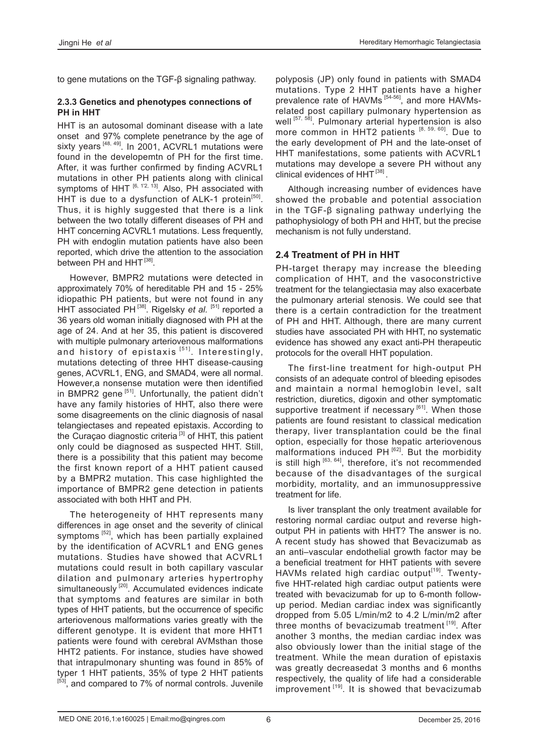to gene mutations on the TGF-β signaling pathway.

#### **2.3.3 Genetics and phenotypes connections of PH in HHT**

HHT is an autosomal dominant disease with a late onset and 97% complete penetrance by the age of sixty years  $^{[48, 49]}$ . In 2001, ACVRL1 mutations were found in the developemtn of PH for the first time. After, it was further confirmed by finding ACVRL1 mutations in other PH patients along with clinical symptoms of HHT  $[6, 12, 13]$ . Also, PH associated with HHT is due to a dysfunction of ALK-1 protein<sup>[50]</sup>. Thus, it is highly suggested that there is a link between the two totally different diseases of PH and HHT concerning ACVRL1 mutations. Less frequently, PH with endoglin mutation patients have also been reported, which drive the attention to the association between PH and HHT<sup>[38]</sup>.

However, BMPR2 mutations were detected in approximately 70% of hereditable PH and 15 - 25% idiopathic PH patients, but were not found in any HHT associated PH<sup>[38]</sup>. Rigelsky *et al.* [51] reported a 36 years old woman initially diagnosed with PH at the age of 24. And at her 35, this patient is discovered with multiple pulmonary arteriovenous malformations and history of epistaxis<sup>[51]</sup>. Interestingly, mutations detecting of three HHT disease-causing genes, ACVRL1, ENG, and SMAD4, were all normal. However,a nonsense mutation were then identified in BMPR2 gene [51]. Unfortunally, the patient didn't have any family histories of HHT, also there were some disagreements on the clinic diagnosis of nasal telangiectases and repeated epistaxis. According to the Curaçao diagnostic criteria<sup>[3]</sup> of HHT, this patient only could be diagnosed as suspected HHT. Still, there is a possibility that this patient may become the first known report of a HHT patient caused by a BMPR2 mutation. This case highlighted the importance of BMPR2 gene detection in patients associated with both HHT and PH.

The heterogeneity of HHT represents many differences in age onset and the severity of clinical symptoms<sup>[52]</sup>, which has been partially explained by the identification of ACVRL1 and ENG genes mutations. Studies have showed that ACVRL1 mutations could result in both capillary vascular dilation and pulmonary arteries hypertrophy simultaneously<sup>[20]</sup>. Accumulated evidences indicate that symptoms and features are similar in both types of HHT patients, but the occurrence of specific arteriovenous malformations varies greatly with the different genotype. It is evident that more HHT1 patients were found with cerebral AVMsthan those HHT2 patients. For instance, studies have showed that intrapulmonary shunting was found in 85% of typer 1 HHT patients, 35% of type 2 HHT patients [53], and compared to 7% of normal controls. Juvenile

polyposis (JP) only found in patients with SMAD4 mutations. Type 2 HHT patients have a higher prevalence rate of HAVMs<sup>[54-56]</sup>, and more HAVMsrelated post capillary pulmonary hypertension as well [57, 58]. Pulmonary arterial hypertension is also more common in HHT2 patients [8, 59, 60]. Due to the early development of PH and the late-onset of HHT manifestations, some patients with ACVRL1 mutations may develope a severe PH without any clinical evidences of HHT<sup>[38]</sup>.

Although increasing number of evidences have showed the probable and potential association in the TGF-β signaling pathway underlying the pathophysiology of both PH and HHT, but the precise mechanism is not fully understand.

#### **2.4 Treatment of PH in HHT**

PH-target therapy may increase the bleeding complication of HHT, and the vasoconstrictive treatment for the telangiectasia may also exacerbate the pulmonary arterial stenosis. We could see that there is a certain contradiction for the treatment of PH and HHT. Although, there are many current studies have associated PH with HHT, no systematic evidence has showed any exact anti-PH therapeutic protocols for the overall HHT population.

The first-line treatment for high-output PH consists of an adequate control of bleeding episodes and maintain a normal hemoglobin level, salt restriction, diuretics, digoxin and other symptomatic supportive treatment if necessary  $[61]$ . When those patients are found resistant to classical medication therapy, liver transplantation could be the final option, especially for those hepatic arteriovenous malformations induced  $PH^{[62]}$ . But the morbidity is still high  $[63, 64]$ , therefore, it's not recommended because of the disadvantages of the surgical morbidity, mortality, and an immunosuppressive treatment for life.

Is liver transplant the only treatment available for restoring normal cardiac output and reverse highoutput PH in patients with HHT? The answer is no. A recent study has showed that Bevacizumab as an anti–vascular endothelial growth factor may be a beneficial treatment for HHT patients with severe HAVMs related high cardiac output<sup>[19]</sup>. Twentyfive HHT-related high cardiac output patients were treated with bevacizumab for up to 6-month followup period. Median cardiac index was significantly dropped from 5.05 L/min/m2 to 4.2 L/min/m2 after three months of bevacizumab treatment [19]. After another 3 months, the median cardiac index was also obviously lower than the initial stage of the treatment. While the mean duration of epistaxis was greatly decreasedat 3 months and 6 months respectively, the quality of life had a considerable improvement [19]. It is showed that bevacizumab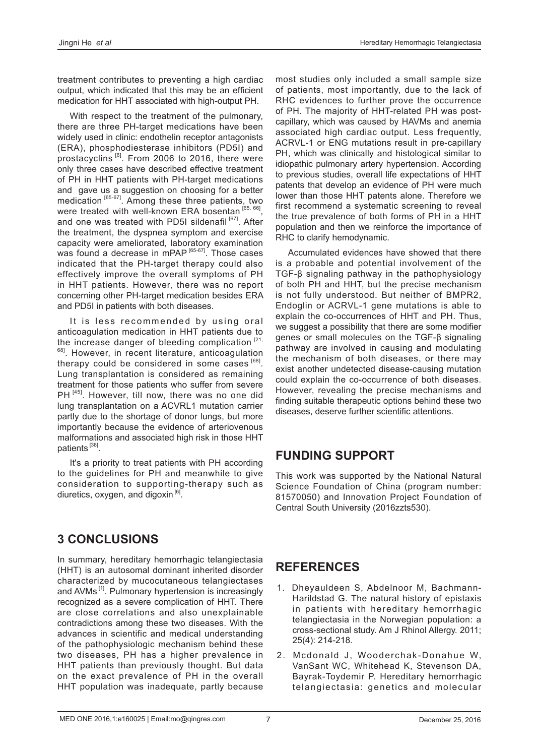treatment contributes to preventing a high cardiac output, which indicated that this may be an efficient medication for HHT associated with high-output PH.

With respect to the treatment of the pulmonary, there are three PH-target medications have been widely used in clinic: endothelin receptor antagonists (ERA), phosphodiesterase inhibitors (PD5I) and prostacyclins <sup>[6]</sup>. From 2006 to 2016, there were only three cases have described effective treatment of PH in HHT patients with PH-target medications and gave us a suggestion on choosing for a better medication [65-67]. Among these three patients, two were treated with well-known ERA bosentan [65, 66]. and one was treated with PD5I sildenafil<sup>[67]</sup>. After the treatment, the dyspnea symptom and exercise capacity were ameliorated, laboratory examination was found a decrease in mPAP<sup>[65-67]</sup>. Those cases indicated that the PH-target therapy could also effectively improve the overall symptoms of PH in HHT patients. However, there was no report concerning other PH-target medication besides ERA and PD5I in patients with both diseases.

It is less recommended by using oral anticoagulation medication in HHT patients due to the increase danger of bleeding complication  $[21, 2]$ <sup>68]</sup>. However, in recent literature, anticoagulation therapy could be considered in some cases  $[68]$ . Lung transplantation is considered as remaining treatment for those patients who suffer from severe PH<sup>[45]</sup>. However, till now, there was no one did lung transplantation on a ACVRL1 mutation carrier partly due to the shortage of donor lungs, but more importantly because the evidence of arteriovenous malformations and associated high risk in those HHT patients [38].

It's a priority to treat patients with PH according to the guidelines for PH and meanwhile to give consideration to supporting-therapy such as diuretics, oxygen, and digoxin $^{[6]}$ .

# **3 CONCLUSIONS**

In summary, hereditary hemorrhagic telangiectasia (HHT) is an autosomal dominant inherited disorder characterized by mucocutaneous telangiectases and AVMs<sup>[1]</sup>. Pulmonary hypertension is increasingly recognized as a severe complication of HHT. There are close correlations and also unexplainable contradictions among these two diseases. With the advances in scientific and medical understanding of the pathophysiologic mechanism behind these two diseases, PH has a higher prevalence in HHT patients than previously thought. But data on the exact prevalence of PH in the overall HHT population was inadequate, partly because most studies only included a small sample size of patients, most importantly, due to the lack of RHC evidences to further prove the occurrence of PH. The majority of HHT-related PH was postcapillary, which was caused by HAVMs and anemia associated high cardiac output. Less frequently, ACRVL-1 or ENG mutations result in pre-capillary PH, which was clinically and histological similar to idiopathic pulmonary artery hypertension. According to previous studies, overall life expectations of HHT patents that develop an evidence of PH were much lower than those HHT patents alone. Therefore we first recommend a systematic screening to reveal the true prevalence of both forms of PH in a HHT population and then we reinforce the importance of RHC to clarify hemodynamic.

Accumulated evidences have showed that there is a probable and potential involvement of the TGF-β signaling pathway in the pathophysiology of both PH and HHT, but the precise mechanism is not fully understood. But neither of BMPR2, Endoglin or ACRVL-1 gene mutations is able to explain the co-occurrences of HHT and PH. Thus, we suggest a possibility that there are some modifier genes or small molecules on the TGF-β signaling pathway are involved in causing and modulating the mechanism of both diseases, or there may exist another undetected disease-causing mutation could explain the co-occurrence of both diseases. However, revealing the precise mechanisms and finding suitable therapeutic options behind these two diseases, deserve further scientific attentions.

# **FUNDING SUPPORT**

This work was supported by the National Natural Science Foundation of China (program number: 81570050) and Innovation Project Foundation of Central South University (2016zzts530).

# **REFERENCES**

- 1. Dheyauldeen S, Abdelnoor M, Bachmann-Harildstad G. The natural history of epistaxis in patients with hereditary hemorrhagic telangiectasia in the Norwegian population: a cross-sectional study. Am J Rhinol Allergy. 2011; 25(4): 214-218.
- 2. Mcdonald J, Wooderchak-Donahue W, VanSant WC, Whitehead K, Stevenson DA, Bayrak-Toydemir P. Hereditary hemorrhagic telangiectasia: genetics and molecular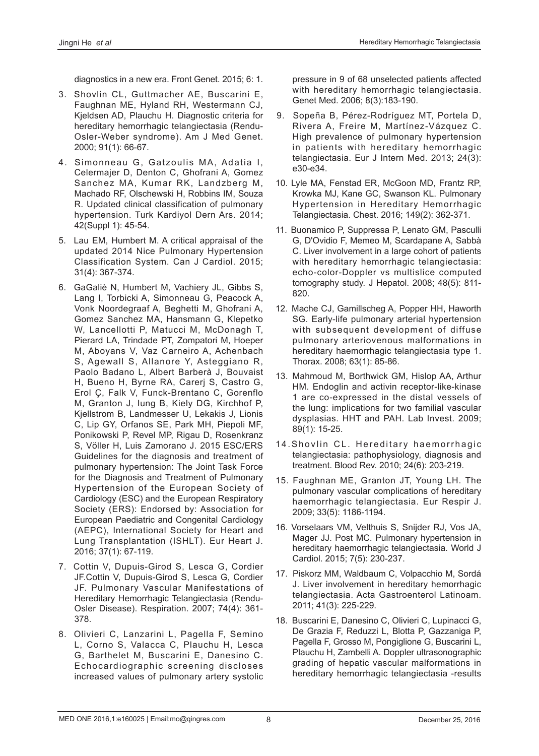diagnostics in a new era. Front Genet. 2015; 6: 1.

- 3. Shovlin CL, Guttmacher AE, Buscarini E, Faughnan ME, Hyland RH, Westermann CJ, Kjeldsen AD, Plauchu H. Diagnostic criteria for hereditary hemorrhagic telangiectasia (Rendu-Osler-Weber syndrome). Am J Med Genet. 2000; 91(1): 66-67.
- 4. Simonneau G, Gatzoulis MA, Adatia I, Celermajer D, Denton C, Ghofrani A, Gomez Sanchez MA, Kumar RK, Landzberg M, Machado RF, Olschewski H, Robbins IM, Souza R. Updated clinical classification of pulmonary hypertension. Turk Kardiyol Dern Ars. 2014; 42(Suppl 1): 45-54.
- 5. Lau EM, Humbert M. A critical appraisal of the updated 2014 Nice Pulmonary Hypertension Classification System. Can J Cardiol. 2015; 31(4): 367-374.
- 6. GaGaliè N, Humbert M, Vachiery JL, Gibbs S, Lang I, Torbicki A, Simonneau G, Peacock A, Vonk Noordegraaf A, Beghetti M, Ghofrani A, Gomez Sanchez MA, Hansmann G, Klepetko W, Lancellotti P, Matucci M, McDonagh T, Pierard LA, Trindade PT, Zompatori M, Hoeper M, Aboyans V, Vaz Carneiro A, Achenbach S, Agewall S, Allanore Y, Asteggiano R, Paolo Badano L, Albert Barberà J, Bouvaist H, Bueno H, Byrne RA, Carerj S, Castro G, Erol Ç, Falk V, Funck-Brentano C, Gorenflo M, Granton J, Iung B, Kiely DG, Kirchhof P, Kjellstrom B, Landmesser U, Lekakis J, Lionis C, Lip GY, Orfanos SE, Park MH, Piepoli MF, Ponikowski P, Revel MP, Rigau D, Rosenkranz S, Völler H, Luis Zamorano J. 2015 ESC/ERS Guidelines for the diagnosis and treatment of pulmonary hypertension: The Joint Task Force for the Diagnosis and Treatment of Pulmonary Hypertension of the European Society of Cardiology (ESC) and the European Respiratory Society (ERS): Endorsed by: Association for European Paediatric and Congenital Cardiology (AEPC), International Society for Heart and Lung Transplantation (ISHLT). Eur Heart J. 2016; 37(1): 67-119.
- 7. Cottin V, Dupuis-Girod S, Lesca G, Cordier JF.Cottin V, Dupuis-Girod S, Lesca G, Cordier JF. Pulmonary Vascular Manifestations of Hereditary Hemorrhagic Telangiectasia (Rendu-Osler Disease). Respiration. 2007; 74(4): 361- 378.
- 8. Olivieri C, Lanzarini L, Pagella F, Semino L, Corno S, Valacca C, Plauchu H, Lesca G, Barthelet M, Buscarini E, Danesino C. Echocardiographic screening discloses increased values of pulmonary artery systolic

pressure in 9 of 68 unselected patients affected with hereditary hemorrhagic telangiectasia. Genet Med. 2006; 8(3):183-190.

- 9. Sopeña B, Pérez-Rodríguez MT, Portela D, Rivera A, Freire M, Martínez-Vázquez C. High prevalence of pulmonary hypertension in patients with hereditary hemorrhagic telangiectasia. Eur J Intern Med. 2013; 24(3): e30-e34.
- 10. Lyle MA, Fenstad ER, McGoon MD, Frantz RP, Krowka MJ, Kane GC, Swanson KL. Pulmonary Hypertension in Hereditary Hemorrhagic Telangiectasia. Chest. 2016; 149(2): 362-371.
- 11. Buonamico P, Suppressa P, Lenato GM, Pasculli G, D'Ovidio F, Memeo M, Scardapane A, Sabbà C. Liver involvement in a large cohort of patients with hereditary hemorrhagic telangiectasia: echo-color-Doppler vs multislice computed tomography study. J Hepatol. 2008; 48(5): 811- 820.
- 12. Mache CJ, Gamillscheg A, Popper HH, Haworth SG. Early-life pulmonary arterial hypertension with subsequent development of diffuse pulmonary arteriovenous malformations in hereditary haemorrhagic telangiectasia type 1. Thorax. 2008; 63(1): 85-86.
- 13. Mahmoud M, Borthwick GM, Hislop AA, Arthur HM. Endoglin and activin receptor-like-kinase 1 are co-expressed in the distal vessels of the lung: implications for two familial vascular dysplasias. HHT and PAH. Lab Invest. 2009; 89(1): 15-25.
- 14. Shovlin CL. Hereditary haemorrhagic telangiectasia: pathophysiology, diagnosis and treatment. Blood Rev. 2010; 24(6): 203-219.
- 15. Faughnan ME, Granton JT, Young LH. The pulmonary vascular complications of hereditary haemorrhagic telangiectasia. Eur Respir J. 2009; 33(5): 1186-1194.
- 16. Vorselaars VM, Velthuis S, Snijder RJ, Vos JA, Mager JJ. Post MC. Pulmonary hypertension in hereditary haemorrhagic telangiectasia. World J Cardiol. 2015; 7(5): 230-237.
- 17. Piskorz MM, Waldbaum C, Volpacchio M, Sordá J. Liver involvement in hereditary hemorrhagic telangiectasia. Acta Gastroenterol Latinoam. 2011; 41(3): 225-229.
- 18. Buscarini E, Danesino C, Olivieri C, Lupinacci G, De Grazia F, Reduzzi L, Blotta P, Gazzaniga P, Pagella F, Grosso M, Pongiglione G, Buscarini L, Plauchu H, Zambelli A. Doppler ultrasonographic grading of hepatic vascular malformations in hereditary hemorrhagic telangiectasia -results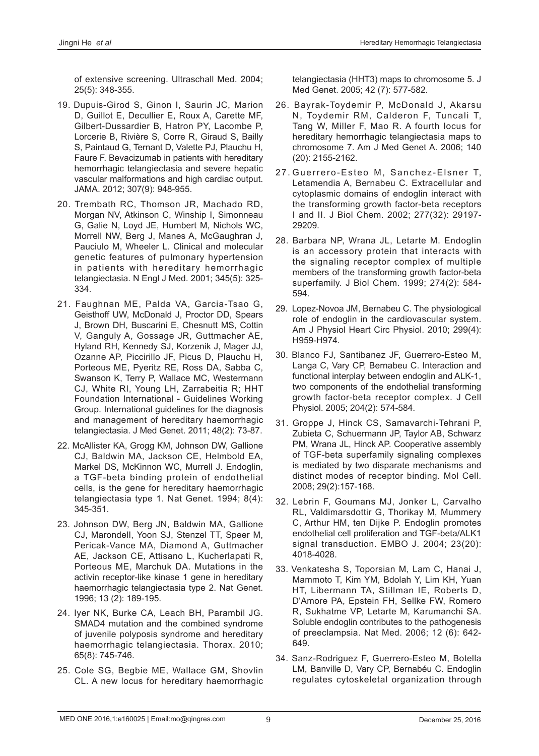of extensive screening. Ultraschall Med. 2004; 25(5): 348-355.

- 19. Dupuis-Girod S, Ginon I, Saurin JC, Marion D, Guillot E, Decullier E, Roux A, Carette MF, Gilbert-Dussardier B, Hatron PY, Lacombe P, Lorcerie B, Rivière S, Corre R, Giraud S, Bailly S, Paintaud G, Ternant D, Valette PJ, Plauchu H, Faure F. Bevacizumab in patients with hereditary hemorrhagic telangiectasia and severe hepatic vascular malformations and high cardiac output. JAMA. 2012; 307(9): 948-955.
- 20. Trembath RC, Thomson JR, Machado RD, Morgan NV, Atkinson C, Winship I, Simonneau G, Galie N, Loyd JE, Humbert M, Nichols WC, Morrell NW, Berg J, Manes A, McGaughran J, Pauciulo M, Wheeler L. Clinical and molecular genetic features of pulmonary hypertension in patients with hereditary hemorrhagic telangiectasia. N Engl J Med. 2001; 345(5): 325- 334.
- 21. Faughnan ME, Palda VA, Garcia-Tsao G, Geisthoff UW, McDonald J, Proctor DD, Spears J, Brown DH, Buscarini E, Chesnutt MS, Cottin V, Ganguly A, Gossage JR, Guttmacher AE, Hyland RH, Kennedy SJ, Korzenik J, Mager JJ, Ozanne AP, Piccirillo JF, Picus D, Plauchu H, Porteous ME, Pyeritz RE, Ross DA, Sabba C, Swanson K, Terry P, Wallace MC, Westermann CJ, White RI, Young LH, Zarrabeitia R; HHT Foundation International - Guidelines Working Group. International guidelines for the diagnosis and management of hereditary haemorrhagic telangiectasia. J Med Genet. 2011; 48(2): 73-87.
- 22. McAllister KA, Grogg KM, Johnson DW, Gallione CJ, Baldwin MA, Jackson CE, Helmbold EA, Markel DS, McKinnon WC, Murrell J. Endoglin, a TGF-beta binding protein of endothelial cells, is the gene for hereditary haemorrhagic telangiectasia type 1. Nat Genet. 1994; 8(4): 345-351.
- 23. Johnson DW, Berg JN, Baldwin MA, Gallione CJ, MarondelI, Yoon SJ, Stenzel TT, Speer M, Pericak-Vance MA, Diamond A, Guttmacher AE, Jackson CE, Attisano L, Kucherlapati R, Porteous ME, Marchuk DA. Mutations in the activin receptor-like kinase 1 gene in hereditary haemorrhagic telangiectasia type 2. Nat Genet. 1996; 13 (2): 189-195.
- 24. Iyer NK, Burke CA, Leach BH, Parambil JG. SMAD4 mutation and the combined syndrome of juvenile polyposis syndrome and hereditary haemorrhagic telangiectasia. Thorax. 2010; 65(8): 745-746.
- 25. Cole SG, Begbie ME, Wallace GM, Shovlin CL. A new locus for hereditary haemorrhagic

telangiectasia (HHT3) maps to chromosome 5. J Med Genet. 2005; 42 (7): 577-582.

- 26. Bayrak-Toydemir P, McDonald J, Akarsu N, Toydemir RM, Calderon F, Tuncali T, Tang W, Miller F, Mao R. A fourth locus for hereditary hemorrhagic telangiectasia maps to chromosome 7. Am J Med Genet A. 2006; 140 (20): 2155-2162.
- 27. Guerrero-Esteo M, Sanchez-Elsner T, Letamendia A, Bernabeu C. Extracellular and cytoplasmic domains of endoglin interact with the transforming growth factor-beta receptors I and II. J Biol Chem. 2002; 277(32): 29197- 29209.
- 28. Barbara NP, Wrana JL, Letarte M. Endoglin is an accessory protein that interacts with the signaling receptor complex of multiple members of the transforming growth factor-beta superfamily. J Biol Chem. 1999; 274(2): 584- 594.
- 29. Lopez-Novoa JM, Bernabeu C. The physiological role of endoglin in the cardiovascular system. Am J Physiol Heart Circ Physiol. 2010; 299(4): H959-H974.
- 30. Blanco FJ, Santibanez JF, Guerrero-Esteo M, Langa C, Vary CP, Bernabeu C. Interaction and functional interplay between endoglin and ALK-1, two components of the endothelial transforming growth factor-beta receptor complex. J Cell Physiol. 2005; 204(2): 574-584.
- 31. Groppe J, Hinck CS, Samavarchi-Tehrani P, Zubieta C, Schuermann JP, Taylor AB, Schwarz PM, Wrana JL, Hinck AP. Cooperative assembly of TGF-beta superfamily signaling complexes is mediated by two disparate mechanisms and distinct modes of receptor binding. Mol Cell. 2008; 29(2):157-168.
- 32. Lebrin F, Goumans MJ, Jonker L, Carvalho RL, Valdimarsdottir G, Thorikay M, Mummery C, Arthur HM, ten Dijke P. Endoglin promotes endothelial cell proliferation and TGF-beta/ALK1 signal transduction. EMBO J. 2004; 23(20): 4018-4028.
- 33. Venkatesha S, Toporsian M, Lam C, Hanai J, Mammoto T, Kim YM, Bdolah Y, Lim KH, Yuan HT, Libermann TA, Stillman IE, Roberts D, D'Amore PA, Epstein FH, Sellke FW, Romero R, Sukhatme VP, Letarte M, Karumanchi SA. Soluble endoglin contributes to the pathogenesis of preeclampsia. Nat Med. 2006; 12 (6): 642- 649.
- 34. Sanz-Rodriguez F, Guerrero-Esteo M, Botella LM, Banville D, Vary CP, Bernabéu C. Endoglin regulates cytoskeletal organization through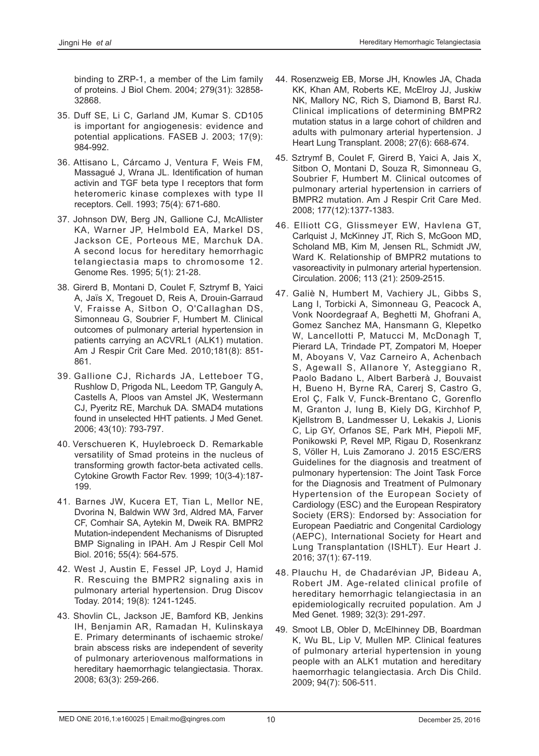binding to ZRP-1, a member of the Lim family of proteins. J Biol Chem. 2004; 279(31): 32858- 32868.

- 35. Duff SE, Li C, Garland JM, Kumar S. CD105 is important for angiogenesis: evidence and potential applications. FASEB J. 2003; 17(9): 984-992.
- 36. Attisano L, Cárcamo J, Ventura F, Weis FM, Massagué J, Wrana JL. Identification of human activin and TGF beta type I receptors that form heteromeric kinase complexes with type II receptors. Cell. 1993; 75(4): 671-680.
- 37. Johnson DW, Berg JN, Gallione CJ, McAllister KA, Warner JP, Helmbold EA, Markel DS, Jackson CE, Porteous ME, Marchuk DA. A second locus for hereditary hemorrhagic telangiectasia maps to chromosome 12. Genome Res. 1995; 5(1): 21-28.
- 38. Girerd B, Montani D, Coulet F, Sztrymf B, Yaici A, Jaïs X, Tregouet D, Reis A, Drouin-Garraud V, Fraisse A, Sitbon O, O'Callaghan DS, Simonneau G, Soubrier F, Humbert M. Clinical outcomes of pulmonary arterial hypertension in patients carrying an ACVRL1 (ALK1) mutation. Am J Respir Crit Care Med. 2010;181(8): 851- 861.
- 39. Gallione CJ, Richards JA, Letteboer TG, Rushlow D, Prigoda NL, Leedom TP, Ganguly A, Castells A, Ploos van Amstel JK, Westermann CJ, Pyeritz RE, Marchuk DA. SMAD4 mutations found in unselected HHT patients. J Med Genet. 2006; 43(10): 793-797.
- 40. Verschueren K, Huylebroeck D. Remarkable versatility of Smad proteins in the nucleus of transforming growth factor-beta activated cells. Cytokine Growth Factor Rev. 1999; 10(3-4):187- 199.
- 41. Barnes JW, Kucera ET, Tian L, Mellor NE, Dvorina N, Baldwin WW 3rd, Aldred MA, Farver CF, Comhair SA, Aytekin M, Dweik RA. BMPR2 Mutation-independent Mechanisms of Disrupted BMP Signaling in IPAH. Am J Respir Cell Mol Biol. 2016; 55(4): 564-575.
- 42. West J, Austin E, Fessel JP, Loyd J, Hamid R. Rescuing the BMPR2 signaling axis in pulmonary arterial hypertension. Drug Discov Today. 2014; 19(8): 1241-1245.
- 43. Shovlin CL, Jackson JE, Bamford KB, Jenkins IH, Benjamin AR, Ramadan H, Kulinskaya E. Primary determinants of ischaemic stroke/ brain abscess risks are independent of severity of pulmonary arteriovenous malformations in hereditary haemorrhagic telangiectasia. Thorax. 2008; 63(3): 259-266.
- 44. Rosenzweig EB, Morse JH, Knowles JA, Chada KK, Khan AM, Roberts KE, McElroy JJ, Juskiw NK, Mallory NC, Rich S, Diamond B, Barst RJ. Clinical implications of determining BMPR2 mutation status in a large cohort of children and adults with pulmonary arterial hypertension. J Heart Lung Transplant. 2008; 27(6): 668-674.
- 45. Sztrymf B, Coulet F, Girerd B, Yaici A, Jais X, Sitbon O, Montani D, Souza R, Simonneau G, Soubrier F, Humbert M. Clinical outcomes of pulmonary arterial hypertension in carriers of BMPR2 mutation. Am J Respir Crit Care Med. 2008; 177(12):1377-1383.
- 46. Elliott CG, Glissmeyer EW, Havlena GT, Carlquist J, McKinney JT, Rich S, McGoon MD, Scholand MB, Kim M, Jensen RL, Schmidt JW, Ward K. Relationship of BMPR2 mutations to vasoreactivity in pulmonary arterial hypertension. Circulation. 2006; 113 (21): 2509-2515.
- 47. Galiè N, Humbert M, Vachiery JL, Gibbs S, Lang I, Torbicki A, Simonneau G, Peacock A, Vonk Noordegraaf A, Beghetti M, Ghofrani A, Gomez Sanchez MA, Hansmann G, Klepetko W, Lancellotti P, Matucci M, McDonagh T, Pierard LA, Trindade PT, Zompatori M, Hoeper M, Aboyans V, Vaz Carneiro A, Achenbach S, Agewall S, Allanore Y, Asteggiano R, Paolo Badano L, Albert Barberà J, Bouvaist H, Bueno H, Byrne RA, Carerj S, Castro G, Erol Ç, Falk V, Funck-Brentano C, Gorenflo M, Granton J, Iung B, Kiely DG, Kirchhof P, Kjellstrom B, Landmesser U, Lekakis J, Lionis C, Lip GY, Orfanos SE, Park MH, Piepoli MF, Ponikowski P, Revel MP, Rigau D, Rosenkranz S, Völler H, Luis Zamorano J. 2015 ESC/ERS Guidelines for the diagnosis and treatment of pulmonary hypertension: The Joint Task Force for the Diagnosis and Treatment of Pulmonary Hypertension of the European Society of Cardiology (ESC) and the European Respiratory Society (ERS): Endorsed by: Association for European Paediatric and Congenital Cardiology (AEPC), International Society for Heart and Lung Transplantation (ISHLT). Eur Heart J. 2016; 37(1): 67-119.
- 48. Plauchu H, de Chadarévian JP, Bideau A, Robert JM. Age-related clinical profile of hereditary hemorrhagic telangiectasia in an epidemiologically recruited population. Am J Med Genet. 1989; 32(3): 291-297.
- 49. Smoot LB, Obler D, McElhinney DB, Boardman K, Wu BL, Lip V, Mullen MP. Clinical features of pulmonary arterial hypertension in young people with an ALK1 mutation and hereditary haemorrhagic telangiectasia. Arch Dis Child. 2009; 94(7): 506-511.